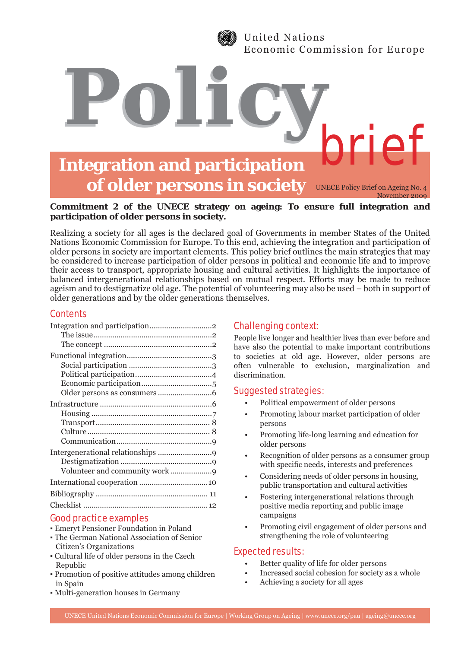

United Nations Economic Commission for Europe

# **Integration and participation of older persons in society** brief

*Policy*

UNECE Policy Brief on Ageing No. 4 November 2009

## **Commitment 2 of the UNECE strategy on ageing: To ensure full integration and participation of older persons in society.**

Realizing a society for all ages is the declared goal of Governments in member States of the United Nations Economic Commission for Europe. To this end, achieving the integration and participation of older persons in society are important elements. This policy brief outlines the main strategies that may be considered to increase participation of older persons in political and economic life and to improve their access to transport, appropriate housing and cultural activities. It highlights the importance of balanced intergenerational relationships based on mutual respect. Efforts may be made to reduce ageism and to destigmatize old age. The potential of volunteering may also be used – both in support of older generations and by the older generations themselves.

# **Contents**

## Good practice examples

- Emeryt Pensioner Foundation in Poland
- The German National Association of Senior Citizen's Organizations
- Cultural life of older persons in the Czech Republic
- Promotion of positive attitudes among children in Spain
- Multi-generation houses in Germany

# Challenging context:

People live longer and healthier lives than ever before and have also the potential to make important contributions to societies at old age. However, older persons are often vulnerable to exclusion, marginalization and discrimination.

# Suggested strategies:

- Political empowerment of older persons
- Promoting labour market participation of older persons
- Promoting life-long learning and education for older persons
- Recognition of older persons as a consumer group with specific needs, interests and preferences
- Considering needs of older persons in housing, public transportation and cultural activities
- Fostering intergenerational relations through positive media reporting and public image campaigns
- Promoting civil engagement of older persons and strengthening the role of volunteering

# Expected results:

- Better quality of life for older persons
- Increased social cohesion for society as a whole
- Achieving a society for all ages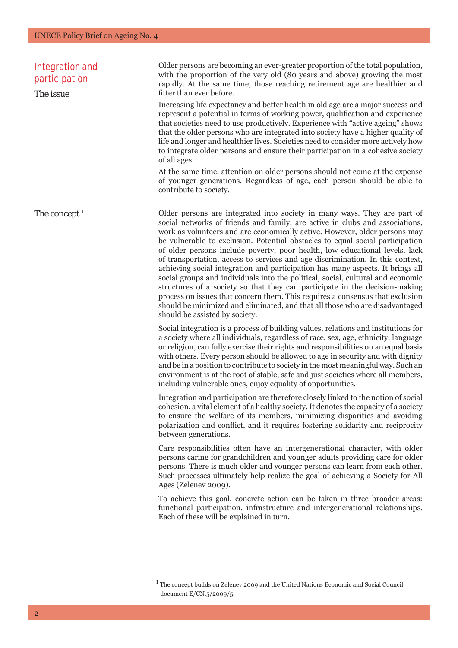| <b>Integration and</b><br>participation<br>The issue | Older persons are becoming an ever-greater proportion of the total population,<br>with the proportion of the very old (80 years and above) growing the most<br>rapidly. At the same time, those reaching retirement age are healthier and<br>fitter than ever before.<br>Increasing life expectancy and better health in old age are a major success and<br>represent a potential in terms of working power, qualification and experience<br>that societies need to use productively. Experience with "active ageing" shows<br>that the older persons who are integrated into society have a higher quality of<br>life and longer and healthier lives. Societies need to consider more actively how<br>to integrate older persons and ensure their participation in a cohesive society<br>of all ages.<br>At the same time, attention on older persons should not come at the expense<br>of younger generations. Regardless of age, each person should be able to<br>contribute to society.                                                                                                                                                                                                                                                                                                                                                                                                                                                                                                                                                   |
|------------------------------------------------------|-----------------------------------------------------------------------------------------------------------------------------------------------------------------------------------------------------------------------------------------------------------------------------------------------------------------------------------------------------------------------------------------------------------------------------------------------------------------------------------------------------------------------------------------------------------------------------------------------------------------------------------------------------------------------------------------------------------------------------------------------------------------------------------------------------------------------------------------------------------------------------------------------------------------------------------------------------------------------------------------------------------------------------------------------------------------------------------------------------------------------------------------------------------------------------------------------------------------------------------------------------------------------------------------------------------------------------------------------------------------------------------------------------------------------------------------------------------------------------------------------------------------------------------------------|
| The concept <sup>1</sup>                             | Older persons are integrated into society in many ways. They are part of<br>social networks of friends and family, are active in clubs and associations,<br>work as volunteers and are economically active. However, older persons may<br>be vulnerable to exclusion. Potential obstacles to equal social participation<br>of older persons include poverty, poor health, low educational levels, lack<br>of transportation, access to services and age discrimination. In this context,<br>achieving social integration and participation has many aspects. It brings all<br>social groups and individuals into the political, social, cultural and economic<br>structures of a society so that they can participate in the decision-making<br>process on issues that concern them. This requires a consensus that exclusion<br>should be minimized and eliminated, and that all those who are disadvantaged<br>should be assisted by society.<br>Social integration is a process of building values, relations and institutions for<br>a society where all individuals, regardless of race, sex, age, ethnicity, language<br>or religion, can fully exercise their rights and responsibilities on an equal basis<br>with others. Every person should be allowed to age in security and with dignity<br>and be in a position to contribute to society in the most meaningful way. Such an<br>environment is at the root of stable, safe and just societies where all members,<br>including vulnerable ones, enjoy equality of opportunities. |
|                                                      | Integration and participation are therefore closely linked to the notion of social<br>cohesion, a vital element of a healthy society. It denotes the capacity of a society<br>to ensure the welfare of its members, minimizing disparities and avoiding<br>polarization and conflict, and it requires fostering solidarity and reciprocity<br>between generations.                                                                                                                                                                                                                                                                                                                                                                                                                                                                                                                                                                                                                                                                                                                                                                                                                                                                                                                                                                                                                                                                                                                                                                            |
|                                                      | Care responsibilities often have an intergenerational character, with older<br>persons caring for grandchildren and younger adults providing care for older<br>persons. There is much older and younger persons can learn from each other.<br>Such processes ultimately help realize the goal of achieving a Society for All<br>Ages (Zelenev 2009).                                                                                                                                                                                                                                                                                                                                                                                                                                                                                                                                                                                                                                                                                                                                                                                                                                                                                                                                                                                                                                                                                                                                                                                          |
|                                                      | To achieve this goal, concrete action can be taken in three broader areas:<br>functional participation, infrastructure and intergenerational relationships.<br>Each of these will be explained in turn.                                                                                                                                                                                                                                                                                                                                                                                                                                                                                                                                                                                                                                                                                                                                                                                                                                                                                                                                                                                                                                                                                                                                                                                                                                                                                                                                       |

 $\emph{1}$  The concept builds on Zelenev 2009 and the United Nations Economic and Social Council document E/CN.5/2009/5.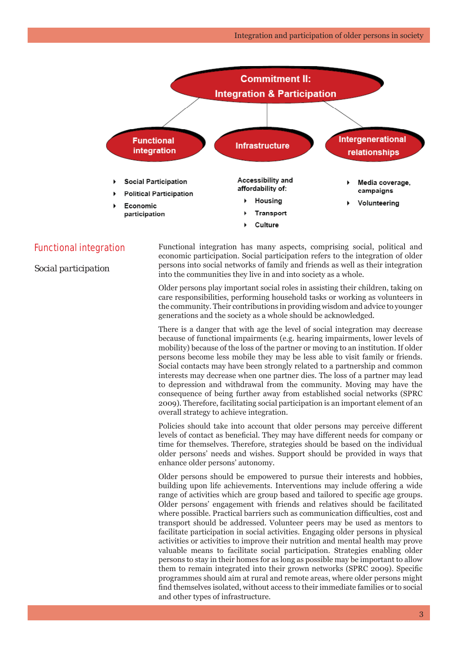

### Functional integration

*Social participation*

Functional integration has many aspects, comprising social, political and economic participation. Social participation refers to the integration of older persons into social networks of family and friends as well as their integration into the communities they live in and into society as a whole.

Older persons play important social roles in assisting their children, taking on care responsibilities, performing household tasks or working as volunteers in the community. Their contributions in providing wisdom and advice to younger generations and the society as a whole should be acknowledged.

There is a danger that with age the level of social integration may decrease because of functional impairments (e.g. hearing impairments, lower levels of mobility) because of the loss of the partner or moving to an institution. If older persons become less mobile they may be less able to visit family or friends. Social contacts may have been strongly related to a partnership and common interests may decrease when one partner dies. The loss of a partner may lead to depression and withdrawal from the community. Moving may have the consequence of being further away from established social networks (SPRC 2009). Therefore, facilitating social participation is an important element of an overall strategy to achieve integration.

Policies should take into account that older persons may perceive different levels of contact as beneficial. They may have different needs for company or time for themselves. Therefore, strategies should be based on the individual older persons' needs and wishes. Support should be provided in ways that enhance older persons' autonomy.

Older persons should be empowered to pursue their interests and hobbies, building upon life achievements. Interventions may include offering a wide range of activities which are group based and tailored to specific age groups. Older persons' engagement with friends and relatives should be facilitated where possible. Practical barriers such as communication difficulties, cost and transport should be addressed. Volunteer peers may be used as mentors to facilitate participation in social activities. Engaging older persons in physical activities or activities to improve their nutrition and mental health may prove valuable means to facilitate social participation. Strategies enabling older persons to stay in their homes for as long as possible may be important to allow them to remain integrated into their grown networks (SPRC 2009). Specific programmes should aim at rural and remote areas, where older persons might find themselves isolated, without access to their immediate families or to social and other types of infrastructure.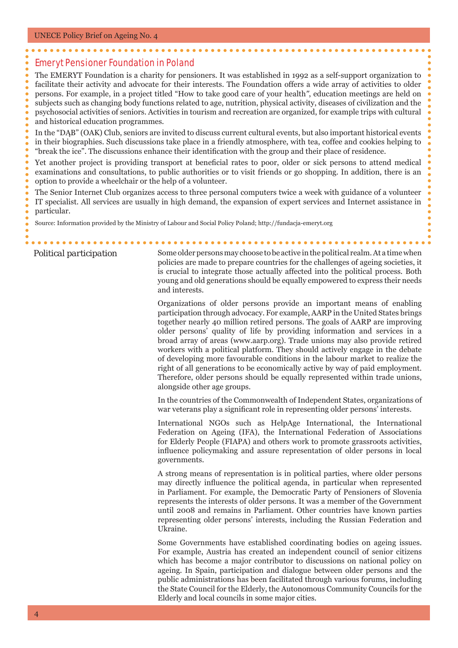# Emeryt Pensioner Foundation in Poland

The EMERYT Foundation is a charity for pensioners. It was established in 1992 as a self-support organization to facilitate their activity and advocate for their interests. The Foundation offers a wide array of activities to older persons. For example, in a project titled "How to take good care of your health*"*, education meetings are held on subjects such as changing body functions related to age, nutrition, physical activity, diseases of civilization and the psychosocial activities of seniors. Activities in tourism and recreation are organized, for example trips with cultural and historical education programmes.

In the "DĄB" (OAK) Club, seniors are invited to discuss current cultural events, but also important historical events in their biographies. Such discussions take place in a friendly atmosphere, with tea, coffee and cookies helping to "break the ice". The discussions enhance their identification with the group and their place of residence.

Yet another project is providing transport at beneficial rates to poor, older or sick persons to attend medical examinations and consultations, to public authorities or to visit friends or go shopping. In addition, there is an option to provide a wheelchair or the help of a volunteer.

The Senior Internet Club organizes access to three personal computers twice a week with guidance of a volunteer IT specialist. All services are usually in high demand, the expansion of expert services and Internet assistance in particular.

Source: Information provided by the Ministry of Labour and Social Policy Poland; http://fundacja-emeryt.org

*Political participation* Some older persons may choose to be active in the political realm. At a time when policies are made to prepare countries for the challenges of ageing societies, it is crucial to integrate those actually affected into the political process. Both young and old generations should be equally empowered to express their needs and interests.

> Organizations of older persons provide an important means of enabling participation through advocacy. For example, AARP in the United States brings together nearly 40 million retired persons. The goals of AARP are improving older persons' quality of life by providing information and services in a broad array of areas (www.aarp.org). Trade unions may also provide retired workers with a political platform. They should actively engage in the debate of developing more favourable conditions in the labour market to realize the right of all generations to be economically active by way of paid employment. Therefore, older persons should be equally represented within trade unions, alongside other age groups.

> In the countries of the Commonwealth of Independent States, organizations of war veterans play a significant role in representing older persons' interests.

> International NGOs such as HelpAge International, the International Federation on Ageing (IFA), the International Federation of Associations for Elderly People (FIAPA) and others work to promote grassroots activities, influence policymaking and assure representation of older persons in local governments.

> A strong means of representation is in political parties, where older persons may directly influence the political agenda, in particular when represented in Parliament. For example, the Democratic Party of Pensioners of Slovenia represents the interests of older persons. It was a member of the Government until 2008 and remains in Parliament. Other countries have known parties representing older persons' interests, including the Russian Federation and Ukraine.

> Some Governments have established coordinating bodies on ageing issues. For example, Austria has created an independent council of senior citizens which has become a major contributor to discussions on national policy on ageing. In Spain, participation and dialogue between older persons and the public administrations has been facilitated through various forums, including the State Council for the Elderly, the Autonomous Community Councils for the Elderly and local councils in some major cities.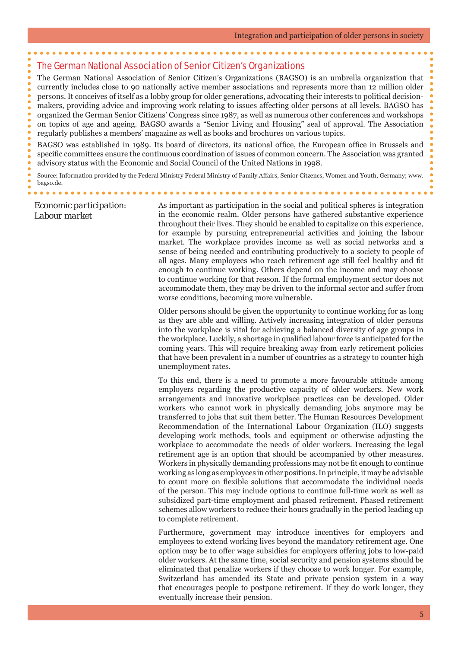# The German National Association of Senior Citizen's Organizations

The German National Association of Senior Citizen's Organizations (BAGSO) is an umbrella organization that currently includes close to 90 nationally active member associations and represents more than 12 million older persons. It conceives of itself as a lobby group for older generations, advocating their interests to political decisionmakers, providing advice and improving work relating to issues affecting older persons at all levels. BAGSO has organized the German Senior Citizens' Congress since 1987, as well as numerous other conferences and workshops on topics of age and ageing. BAGSO awards a "Senior Living and Housing" seal of approval. The Association regularly publishes a members' magazine as well as books and brochures on various topics.

BAGSO was established in 1989. Its board of directors, its national office, the European office in Brussels and specific committees ensure the continuous coordination of issues of common concern. The Association was granted advisory status with the Economic and Social Council of the United Nations in 1998.

Source: Information provided by the Federal Ministry Federal Ministry of Family Affairs, Senior Citzencs, Women and Youth, Germany; www. bagso.de.

### *Economic participation: Labour market*

As important as participation in the social and political spheres is integration in the economic realm. Older persons have gathered substantive experience throughout their lives. They should be enabled to capitalize on this experience, for example by pursuing entrepreneurial activities and joining the labour market. The workplace provides income as well as social networks and a sense of being needed and contributing productively to a society to people of all ages. Many employees who reach retirement age still feel healthy and fit enough to continue working. Others depend on the income and may choose to continue working for that reason. If the formal employment sector does not accommodate them, they may be driven to the informal sector and suffer from worse conditions, becoming more vulnerable.

Older persons should be given the opportunity to continue working for as long as they are able and willing. Actively increasing integration of older persons into the workplace is vital for achieving a balanced diversity of age groups in the workplace. Luckily, a shortage in qualified labour force is anticipated for the coming years. This will require breaking away from early retirement policies that have been prevalent in a number of countries as a strategy to counter high unemployment rates.

To this end, there is a need to promote a more favourable attitude among employers regarding the productive capacity of older workers. New work arrangements and innovative workplace practices can be developed. Older workers who cannot work in physically demanding jobs anymore may be transferred to jobs that suit them better. The Human Resources Development Recommendation of the International Labour Organization (ILO) suggests developing work methods, tools and equipment or otherwise adjusting the workplace to accommodate the needs of older workers. Increasing the legal retirement age is an option that should be accompanied by other measures. Workers in physically demanding professions may not be fit enough to continue working as long as employees in other positions. In principle, it may be advisable to count more on flexible solutions that accommodate the individual needs of the person. This may include options to continue full-time work as well as subsidized part-time employment and phased retirement. Phased retirement schemes allow workers to reduce their hours gradually in the period leading up to complete retirement.

Furthermore, government may introduce incentives for employers and employees to extend working lives beyond the mandatory retirement age. One option may be to offer wage subsidies for employers offering jobs to low-paid older workers. At the same time, social security and pension systems should be eliminated that penalize workers if they choose to work longer. For example, Switzerland has amended its State and private pension system in a way that encourages people to postpone retirement. If they do work longer, they eventually increase their pension.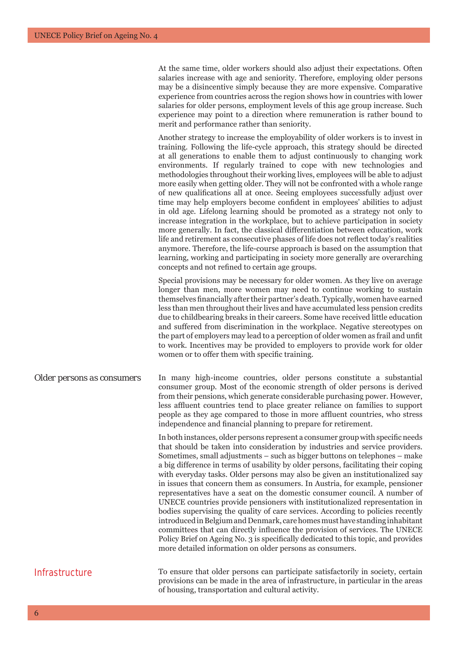At the same time, older workers should also adjust their expectations. Often salaries increase with age and seniority. Therefore, employing older persons may be a disincentive simply because they are more expensive. Comparative experience from countries across the region shows how in countries with lower salaries for older persons, employment levels of this age group increase. Such experience may point to a direction where remuneration is rather bound to merit and performance rather than seniority.

Another strategy to increase the employability of older workers is to invest in training. Following the life-cycle approach, this strategy should be directed at all generations to enable them to adjust continuously to changing work environments. If regularly trained to cope with new technologies and methodologies throughout their working lives, employees will be able to adjust more easily when getting older. They will not be confronted with a whole range of new qualifications all at once. Seeing employees successfully adjust over time may help employers become confident in employees' abilities to adjust in old age. Lifelong learning should be promoted as a strategy not only to increase integration in the workplace, but to achieve participation in society more generally. In fact, the classical differentiation between education, work life and retirement as consecutive phases of life does not reflect today's realities anymore. Therefore, the life-course approach is based on the assumption that learning, working and participating in society more generally are overarching concepts and not refined to certain age groups.

Special provisions may be necessary for older women. As they live on average longer than men, more women may need to continue working to sustain themselves financially after their partner's death. Typically, women have earned less than men throughout their lives and have accumulated less pension credits due to childbearing breaks in their careers. Some have received little education and suffered from discrimination in the workplace. Negative stereotypes on the part of employers may lead to a perception of older women as frail and unfit to work. Incentives may be provided to employers to provide work for older women or to offer them with specific training.

*Older persons as consumers* In many high-income countries, older persons constitute a substantial consumer group. Most of the economic strength of older persons is derived from their pensions, which generate considerable purchasing power. However, less affluent countries tend to place greater reliance on families to support people as they age compared to those in more affluent countries, who stress independence and financial planning to prepare for retirement.

> In both instances, older persons represent a consumer group with specific needs that should be taken into consideration by industries and service providers. Sometimes, small adjustments – such as bigger buttons on telephones – make a big difference in terms of usability by older persons, facilitating their coping with everyday tasks. Older persons may also be given an institutionalized say in issues that concern them as consumers. In Austria, for example, pensioner representatives have a seat on the domestic consumer council. A number of UNECE countries provide pensioners with institutionalized representation in bodies supervising the quality of care services. According to policies recently introduced in Belgium and Denmark, care homes must have standing inhabitant committees that can directly influence the provision of services. The UNECE Policy Brief on Ageing No. 3 is specifically dedicated to this topic, and provides more detailed information on older persons as consumers.

Infrastructure To ensure that older persons can participate satisfactorily in society, certain provisions can be made in the area of infrastructure, in particular in the areas of housing, transportation and cultural activity.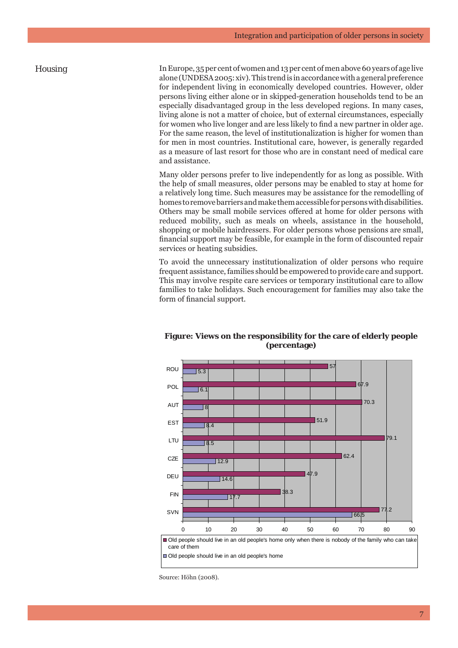*Housing* In Europe, 35 per cent of women and 13 per cent of men above 60 years of age live alone (UNDESA 2005: xiv). This trend is in accordance with a general preference for independent living in economically developed countries. However, older persons living either alone or in skipped-generation households tend to be an especially disadvantaged group in the less developed regions. In many cases, living alone is not a matter of choice, but of external circumstances, especially for women who live longer and are less likely to find a new partner in older age. For the same reason, the level of institutionalization is higher for women than for men in most countries. Institutional care, however, is generally regarded as a measure of last resort for those who are in constant need of medical care and assistance.

> Many older persons prefer to live independently for as long as possible. With the help of small measures, older persons may be enabled to stay at home for a relatively long time. Such measures may be assistance for the remodelling of homes to remove barriers and make them accessible for persons with disabilities. Others may be small mobile services offered at home for older persons with reduced mobility, such as meals on wheels, assistance in the household, shopping or mobile hairdressers. For older persons whose pensions are small, financial support may be feasible, for example in the form of discounted repair services or heating subsidies.

> To avoid the unnecessary institutionalization of older persons who require frequent assistance, families should be empowered to provide care and support. This may involve respite care services or temporary institutional care to allow families to take holidays. Such encouragement for families may also take the form of financial support.



### **Figure: Views on the responsibility for the care of elderly people (percentage)**

Source: Höhn (2008).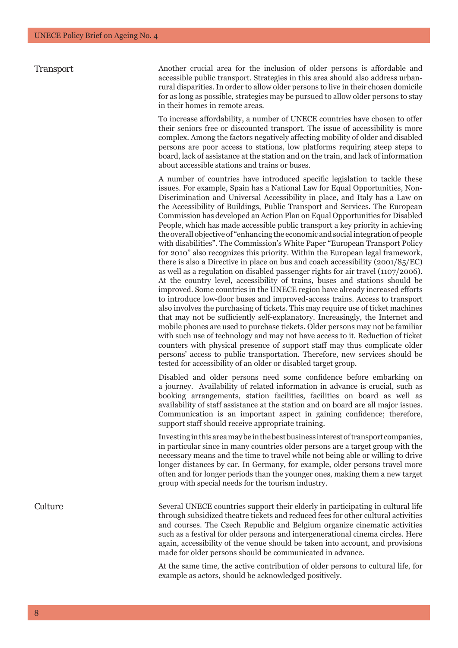**Transport** Another crucial area for the inclusion of older persons is affordable and accessible public transport. Strategies in this area should also address urbanrural disparities. In order to allow older persons to live in their chosen domicile for as long as possible, strategies may be pursued to allow older persons to stay in their homes in remote areas.

> To increase affordability, a number of UNECE countries have chosen to offer their seniors free or discounted transport. The issue of accessibility is more complex. Among the factors negatively affecting mobility of older and disabled persons are poor access to stations, low platforms requiring steep steps to board, lack of assistance at the station and on the train, and lack of information about accessible stations and trains or buses.

> A number of countries have introduced specific legislation to tackle these issues. For example, Spain has a National Law for Equal Opportunities, Non-Discrimination and Universal Accessibility in place, and Italy has a Law on the Accessibility of Buildings, Public Transport and Services. The European Commission has developed an Action Plan on Equal Opportunities for Disabled People, which has made accessible public transport a key priority in achieving the overall objective of "enhancing the economic and social integration of people with disabilities". The Commission's White Paper "European Transport Policy for 2010" also recognizes this priority. Within the European legal framework, there is also a Directive in place on bus and coach accessibility (2001/85/EC) as well as a regulation on disabled passenger rights for air travel (1107/2006). At the country level, accessibility of trains, buses and stations should be improved. Some countries in the UNECE region have already increased efforts to introduce low-floor buses and improved-access trains. Access to transport also involves the purchasing of tickets. This may require use of ticket machines that may not be sufficiently self-explanatory. Increasingly, the Internet and mobile phones are used to purchase tickets. Older persons may not be familiar with such use of technology and may not have access to it. Reduction of ticket counters with physical presence of support staff may thus complicate older persons' access to public transportation. Therefore, new services should be tested for accessibility of an older or disabled target group.

> Disabled and older persons need some confidence before embarking on a journey. Availability of related information in advance is crucial, such as booking arrangements, station facilities, facilities on board as well as availability of staff assistance at the station and on board are all major issues. Communication is an important aspect in gaining confidence; therefore, support staff should receive appropriate training.

> Investing in this area may be in the best business interest of transport companies, in particular since in many countries older persons are a target group with the necessary means and the time to travel while not being able or willing to drive longer distances by car. In Germany, for example, older persons travel more often and for longer periods than the younger ones, making them a new target group with special needs for the tourism industry.

*Culture* Several UNECE countries support their elderly in participating in cultural life through subsidized theatre tickets and reduced fees for other cultural activities and courses. The Czech Republic and Belgium organize cinematic activities such as a festival for older persons and intergenerational cinema circles. Here again, accessibility of the venue should be taken into account, and provisions made for older persons should be communicated in advance.

> At the same time, the active contribution of older persons to cultural life, for example as actors, should be acknowledged positively.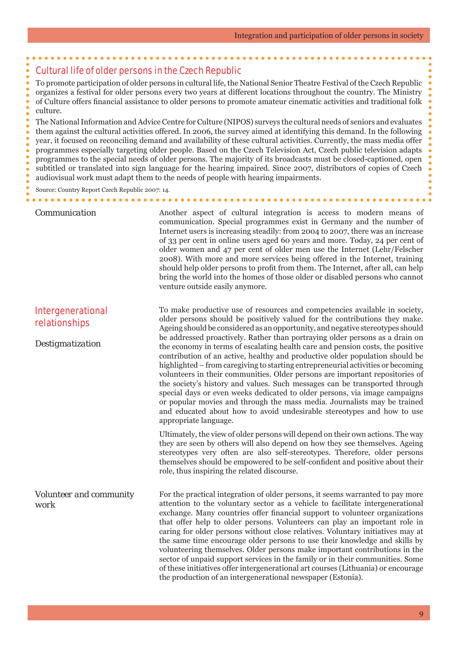### Cultural life of older persons in the Czech Republic

To promote participation of older persons in cultural life, the National Senior Theatre Festival of the Czech Republic organizes a festival for older persons every two years at different locations throughout the country. The Ministry of Culture offers fi nancial assistance to older persons to promote amateur cinematic activities and traditional folk culture.

The National Information and Advice Centre for Culture (NIPOS) surveys the cultural needs of seniors and evaluates them against the cultural activities offered. In 2006, the survey aimed at identifying this demand. In the following year, it focused on reconciling demand and availability of these cultural activities. Currently, the mass media offer programmes especially targeting older people. Based on the Czech Television Act, Czech public television adapts programmes to the special needs of older persons. The majority of its broadcasts must be closed-captioned, open subtitled or translated into sign language for the hearing impaired. Since 2007, distributors of copies of Czech audiovisual work must adapt them to the needs of people with hearing impairments.

venture outside easily anymore.

### **Communication Another aspect of cultural integration is access to modern means of**

Source: Country Report Czech Republic 2007: 14.

# Intergenerational relationships

*Destigmatization*

older persons should be positively valued for the contributions they make. Ageing should be considered as an opportunity, and negative stereotypes should be addressed proactively. Rather than portraying older persons as a drain on the economy in terms of escalating health care and pension costs, the positive contribution of an active, healthy and productive older population should be highlighted – from caregiving to starting entrepreneurial activities or becoming volunteers in their communities. Older persons are important repositories of the society's history and values. Such messages can be transported through special days or even weeks dedicated to older persons, via image campaigns or popular movies and through the mass media. Journalists may be trained and educated about how to avoid undesirable stereotypes and how to use appropriate language.

To make productive use of resources and competencies available in society,

communication. Special programmes exist in Germany and the number of Internet users is increasing steadily: from 2004 to 2007, there was an increase of 33 per cent in online users aged 60 years and more. Today, 24 per cent of older women and 47 per cent of older men use the Internet (Lehr/Felscher 2008). With more and more services being offered in the Internet, training should help older persons to profit from them. The Internet, after all, can help bring the world into the homes of those older or disabled persons who cannot

. . . . . . . . . . . . . . . . . . . .

Ultimately, the view of older persons will depend on their own actions. The way they are seen by others will also depend on how they see themselves. Ageing stereotypes very often are also self-stereotypes. Therefore, older persons themselves should be empowered to be self-confident and positive about their role, thus inspiring the related discourse.

*Volunteer and community work* For the practical integration of older persons, it seems warranted to pay more attention to the voluntary sector as a vehicle to facilitate intergenerational exchange. Many countries offer financial support to volunteer organizations that offer help to older persons. Volunteers can play an important role in caring for older persons without close relatives. Voluntary initiatives may at the same time encourage older persons to use their knowledge and skills by volunteering themselves. Older persons make important contributions in the sector of unpaid support services in the family or in their communities. Some of these initiatives offer intergenerational art courses (Lithuania) or encourage the production of an intergenerational newspaper (Estonia).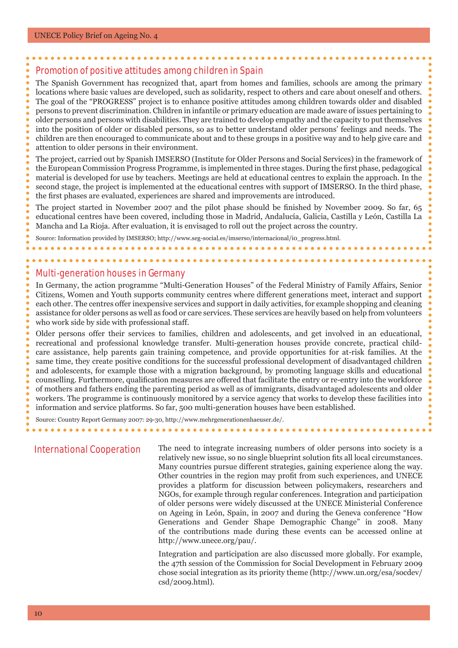### Promotion of positive attitudes among children in Spain

The Spanish Government has recognized that, apart from homes and families, schools are among the primary locations where basic values are developed, such as solidarity, respect to others and care about oneself and others. The goal of the "PROGRESS" project is to enhance positive attitudes among children towards older and disabled persons to prevent discrimination. Children in infantile or primary education are made aware of issues pertaining to older persons and persons with disabilities. They are trained to develop empathy and the capacity to put themselves into the position of older or disabled persons, so as to better understand older persons' feelings and needs. The children are then encouraged to communicate about and to these groups in a positive way and to help give care and attention to older persons in their environment.

The project, carried out by Spanish IMSERSO (Institute for Older Persons and Social Services) in the framework of the European Commission Progress Programme, is implemented in three stages. During the first phase, pedagogical material is developed for use by teachers. Meetings are held at educational centres to explain the approach. In the second stage, the project is implemented at the educational centres with support of IMSERSO. In the third phase, the first phases are evaluated, experiences are shared and improvements are introduced.

The project started in November 2007 and the pilot phase should be finished by November 2009. So far, 65 educational centres have been covered, including those in Madrid, Andalucía, Galicia, Castilla y León, Castilla La Mancha and La Rioja. After evaluation, it is envisaged to roll out the project across the country.

Source: Information provided by IMSERSO; http://www.seg-social.es/imserso/internacional/i0\_progress.html.

### Multi-generation houses in Germany

In Germany, the action programme "Multi-Generation Houses" of the Federal Ministry of Family Affairs, Senior Citizens, Women and Youth supports community centres where different generations meet, interact and support each other. The centres offer inexpensive services and support in daily activities, for example shopping and cleaning assistance for older persons as well as food or care services. These services are heavily based on help from volunteers who work side by side with professional staff.

Older persons offer their services to families, children and adolescents, and get involved in an educational, recreational and professional knowledge transfer. Multi-generation houses provide concrete, practical childcare assistance, help parents gain training competence, and provide opportunities for at-risk families. At the same time, they create positive conditions for the successful professional development of disadvantaged children and adolescents, for example those with a migration background, by promoting language skills and educational counselling. Furthermore, qualification measures are offered that facilitate the entry or re-entry into the workforce of mothers and fathers ending the parenting period as well as of immigrants, disadvantaged adolescents and older workers. The programme is continuously monitored by a service agency that works to develop these facilities into information and service platforms. So far, 500 multi-generation houses have been established.

Source: Country Report Germany 2007: 29-30, http://www.mehrgenerationenhaeuser.de/.

International Cooperation The need to integrate increasing numbers of older persons into society is a relatively new issue, so no single blueprint solution fits all local circumstances. Many countries pursue different strategies, gaining experience along the way. Other countries in the region may profit from such experiences, and UNECE provides a platform for discussion between policymakers, researchers and NGOs, for example through regular conferences. Integration and participation of older persons were widely discussed at the UNECE Ministerial Conference on Ageing in León, Spain, in 2007 and during the Geneva conference "How Generations and Gender Shape Demographic Change" in 2008. Many of the contributions made during these events can be accessed online at http://www.unece.org/pau/.

> Integration and participation are also discussed more globally. For example, the 47th session of the Commission for Social Development in February 2009 chose social integration as its priority theme (http://www.un.org/esa/socdev/ csd/2009.html).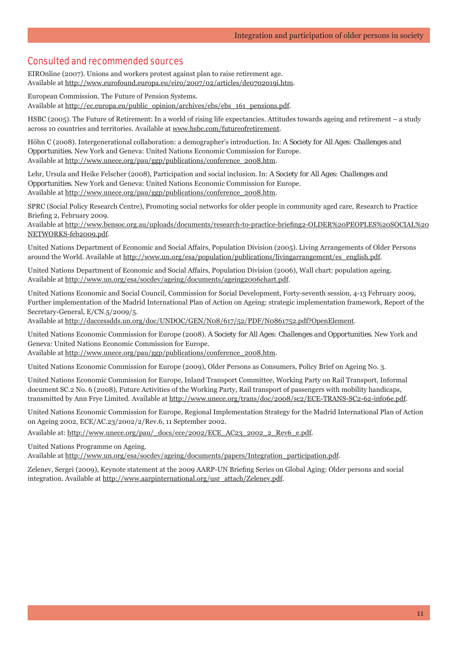# Consulted and recommended sources

EIROnline (2007). Unions and workers protest against plan to raise retirement age. Available at http://www.eurofound.europa.eu/eiro/2007/02/articles/de0702019i.htm.

European Commission. The Future of Pension Systems. Available at http://ec.europa.eu/public\_opinion/archives/ebs/ebs\_161\_pensions.pdf.

HSBC (2005). The Future of Retirement: In a world of rising life expectancies. Attitudes towards ageing and retirement – a study across 10 countries and territories. Available at www.hsbc.com/futureofretirement.

Höhn C (2008). Intergenerational collaboration: a demographer's introduction. In: *A Society for All Ages: Challenges and Opportunities*. New York and Geneva: United Nations Economic Commission for Europe. Available at http://www.unece.org/pau/ggp/publications/conference\_2008.htm.

Lehr, Ursula and Heike Felscher (2008), Participation and social inclusion. In: *A Society for All Ages: Challenges and Opportunities*. New York and Geneva: United Nations Economic Commission for Europe. Available at http://www.unece.org/pau/ggp/publications/conference\_2008.htm.

SPRC (Social Policy Research Centre), Promoting social networks for older people in community aged care, Research to Practice Briefing 2, February 2009.

Available at http://www.bensoc.org.au/uploads/documents/research-to-practice-briefing2-OLDER%20PEOPLES%20SOCIAL%20 NETWORKS-feb2009.pdf.

United Nations Department of Economic and Social Affairs, Population Division (2005). Living Arrangements of Older Persons around the World. Available at http://www.un.org/esa/population/publications/livingarrangement/es\_english.pdf.

United Nations Department of Economic and Social Affairs, Population Division (2006), Wall chart: population ageing. Available at http://www.un.org/esa/socdev/ageing/documents/ageing2006chart.pdf.

United Nations Economic and Social Council, Commission for Social Development, Forty-seventh session, 4-13 February 2009, Further implementation of the Madrid International Plan of Action on Ageing: strategic implementation framework, Report of the Secretary-General, E/CN.5/2009/5.

Available at http://daccessdds.un.org/doc/UNDOC/GEN/N08/617/52/PDF/N0861752.pdf?OpenElement.

United Nations Economic Commission for Europe (2008). *A Society for All Ages: Challenges and Opportunities*. New York and Geneva: United Nations Economic Commission for Europe.

Available at http://www.unece.org/pau/ggp/publications/conference\_2008.htm.

United Nations Economic Commission for Europe (2009), Older Persons as Consumers, Policy Brief on Ageing No. 3.

United Nations Economic Commission for Europe, Inland Transport Committee, Working Party on Rail Transport, Informal document SC.2 No. 6 (2008), Future Activities of the Working Party, Rail transport of passengers with mobility handicaps, transmitted by Ann Frye Limited. Available at http://www.unece.org/trans/doc/2008/sc2/ECE-TRANS-SC2-62-inf06e.pdf.

United Nations Economic Commission for Europe, Regional Implementation Strategy for the Madrid International Plan of Action on Ageing 2002, ECE/AC.23/2002/2/Rev.6, 11 September 2002.

Available at: http://www.unece.org/pau/\_docs/ece/2002/ECE\_AC23\_2002\_2\_Rev6\_e.pdf.

United Nations Programme on Ageing.

Available at http://www.un.org/esa/socdev/ageing/documents/papers/Integration\_participation.pdf.

Zelenev, Sergei (2009), Keynote statement at the 2009 AARP-UN Briefing Series on Global Aging: Older persons and social integration. Available at http://www.aarpinternational.org/usr\_attach/Zelenev.pdf.